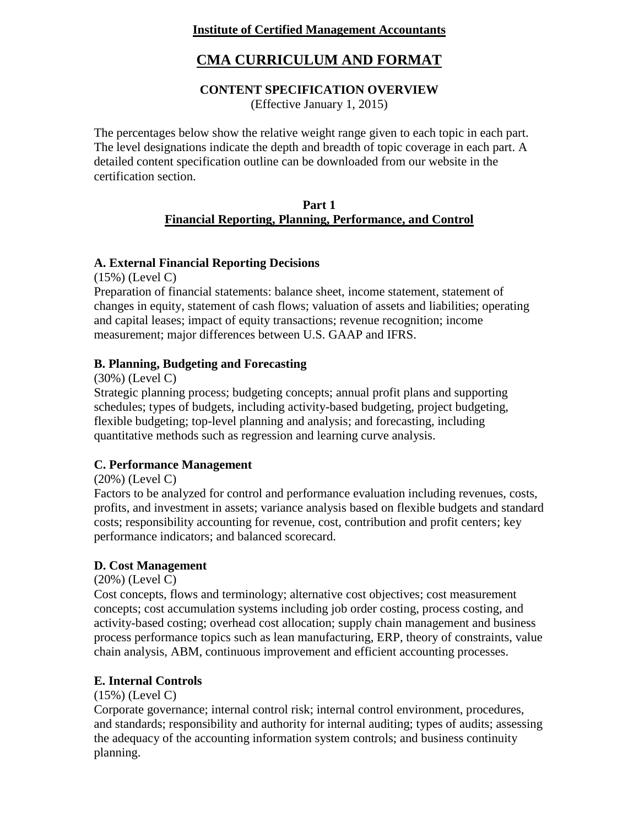# **Institute of Certified Management Accountants**

# **CMA CURRICULUM AND FORMAT**

# **CONTENT SPECIFICATION OVERVIEW**

(Effective January 1, 2015)

The percentages below show the relative weight range given to each topic in each part. The level designations indicate the depth and breadth of topic coverage in each part. A detailed content specification outline can be downloaded from our website in the certification section.

#### **Part 1 Financial Reporting, Planning, Performance, and Control**

# **A. External Financial Reporting Decisions**

(15%) (Level C)

Preparation of financial statements: balance sheet, income statement, statement of changes in equity, statement of cash flows; valuation of assets and liabilities; operating and capital leases; impact of equity transactions; revenue recognition; income measurement; major differences between U.S. GAAP and IFRS.

# **B. Planning, Budgeting and Forecasting**

(30%) (Level C)

Strategic planning process; budgeting concepts; annual profit plans and supporting schedules; types of budgets, including activity-based budgeting, project budgeting, flexible budgeting; top-level planning and analysis; and forecasting, including quantitative methods such as regression and learning curve analysis.

# **C. Performance Management**

(20%) (Level C)

Factors to be analyzed for control and performance evaluation including revenues, costs, profits, and investment in assets; variance analysis based on flexible budgets and standard costs; responsibility accounting for revenue, cost, contribution and profit centers; key performance indicators; and balanced scorecard.

# **D. Cost Management**

(20%) (Level C)

Cost concepts, flows and terminology; alternative cost objectives; cost measurement concepts; cost accumulation systems including job order costing, process costing, and activity-based costing; overhead cost allocation; supply chain management and business process performance topics such as lean manufacturing, ERP, theory of constraints, value chain analysis, ABM, continuous improvement and efficient accounting processes.

# **E. Internal Controls**

(15%) (Level C)

Corporate governance; internal control risk; internal control environment, procedures, and standards; responsibility and authority for internal auditing; types of audits; assessing the adequacy of the accounting information system controls; and business continuity planning.